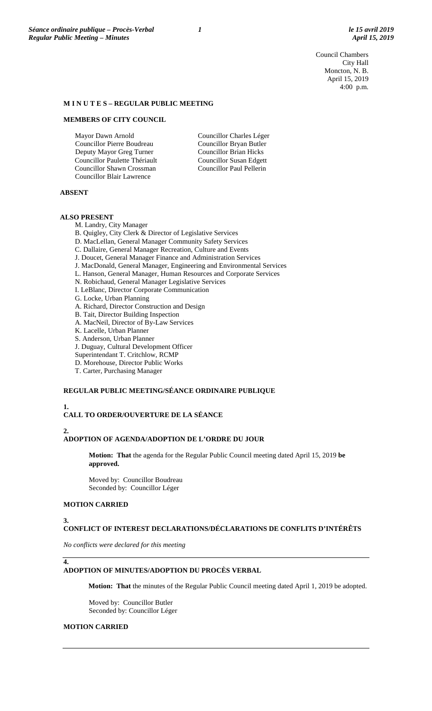Council Chambers City Hall Moncton, N. B. April 15, 2019 4:00 p.m.

### **M I N U T E S – REGULAR PUBLIC MEETING**

### **MEMBERS OF CITY COUNCIL**

Mayor Dawn Arnold Councillor Pierre Boudreau Deputy Mayor Greg Turner Councillor Paulette Thériault Councillor Shawn Crossman Councillor Blair Lawrence

Councillor Charles Léger Councillor Bryan Butler Councillor Brian Hicks Councillor Susan Edgett Councillor Paul Pellerin

### **ABSENT**

## **ALSO PRESENT**

M. Landry, City Manager

B. Quigley, City Clerk & Director of Legislative Services

- D. MacLellan, General Manager Community Safety Services
- C. Dallaire, General Manager Recreation, Culture and Events
- J. Doucet, General Manager Finance and Administration Services
- J. MacDonald, General Manager, Engineering and Environmental Services
- L. Hanson, General Manager, Human Resources and Corporate Services
- N. Robichaud, General Manager Legislative Services
- I. LeBlanc, Director Corporate Communication
- G. Locke, Urban Planning
- A. Richard, Director Construction and Design
- B. Tait, Director Building Inspection
- A. MacNeil, Director of By-Law Services
- K. Lacelle, Urban Planner
- S. Anderson, Urban Planner
- J. Duguay, Cultural Development Officer
- Superintendant T. Critchlow, RCMP
- D. Morehouse, Director Public Works
- T. Carter, Purchasing Manager

### **REGULAR PUBLIC MEETING/SÉANCE ORDINAIRE PUBLIQUE**

## **1.**

## **CALL TO ORDER/OUVERTURE DE LA SÉANCE**

### **2.**

### **ADOPTION OF AGENDA/ADOPTION DE L'ORDRE DU JOUR**

**Motion: That** the agenda for the Regular Public Council meeting dated April 15, 2019 **be approved.**

Moved by: Councillor Boudreau Seconded by: Councillor Léger

### **MOTION CARRIED**

### **3.**

**4.**

### **CONFLICT OF INTEREST DECLARATIONS/DÉCLARATIONS DE CONFLITS D'INTÉRÊTS**

*No conflicts were declared for this meeting*

### **ADOPTION OF MINUTES/ADOPTION DU PROCÈS VERBAL**

**Motion: That** the minutes of the Regular Public Council meeting dated April 1, 2019 be adopted.

Moved by: Councillor Butler Seconded by: Councillor Léger

## **MOTION CARRIED**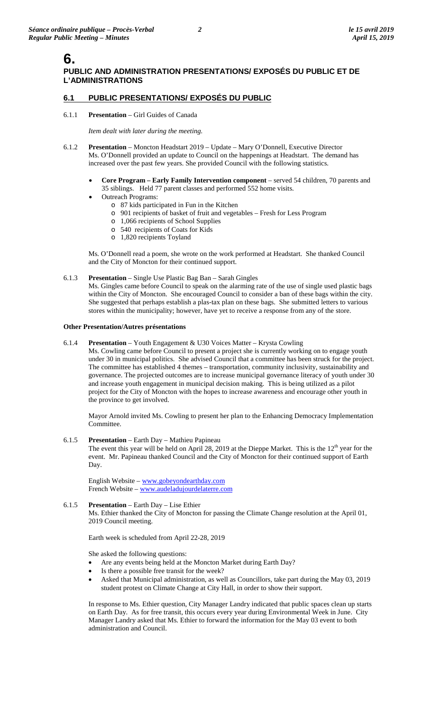# **6.**

# **PUBLIC AND ADMINISTRATION PRESENTATIONS/ EXPOSÉS DU PUBLIC ET DE L'ADMINISTRATIONS**

# **6.1 PUBLIC PRESENTATIONS/ EXPOSÉS DU PUBLIC**

### 6.1.1 **Presentation** – Girl Guides of Canada

### *Item dealt with later during the meeting.*

- 6.1.2 **Presentation** Moncton Headstart 2019 Update Mary O'Donnell, Executive Director Ms. O'Donnell provided an update to Council on the happenings at Headstart. The demand has increased over the past few years. She provided Council with the following statistics.
	- **Core Program – Early Family Intervention component** served 54 children, 70 parents and 35 siblings. Held 77 parent classes and performed 552 home visits.
	- Outreach Programs:
		- o 87 kids participated in Fun in the Kitchen
			- o 901 recipients of basket of fruit and vegetables Fresh for Less Program
			- o 1,066 recipients of School Supplies
			- o 540 recipients of Coats for Kids
			- o 1,820 recipients Toyland

Ms. O'Donnell read a poem, she wrote on the work performed at Headstart. She thanked Council and the City of Moncton for their continued support.

### 6.1.3 **Presentation** – Single Use Plastic Bag Ban – Sarah Gingles

Ms. Gingles came before Council to speak on the alarming rate of the use of single used plastic bags within the City of Moncton. She encouraged Council to consider a ban of these bags within the city. She suggested that perhaps establish a plas-tax plan on these bags. She submitted letters to various stores within the municipality; however, have yet to receive a response from any of the store.

### **Other Presentation/Autres présentations**

6.1.4 **Presentation** – Youth Engagement & U30 Voices Matter – Krysta Cowling

Ms. Cowling came before Council to present a project she is currently working on to engage youth under 30 in municipal politics. She advised Council that a committee has been struck for the project. The committee has established 4 themes – transportation, community inclusivity, sustainability and governance. The projected outcomes are to increase municipal governance literacy of youth under 30 and increase youth engagement in municipal decision making. This is being utilized as a pilot project for the City of Moncton with the hopes to increase awareness and encourage other youth in the province to get involved.

Mayor Arnold invited Ms. Cowling to present her plan to the Enhancing Democracy Implementation Committee.

6.1.5 **Presentation** – Earth Day – Mathieu Papineau The event this year will be held on April 28, 2019 at the Dieppe Market. This is the  $12<sup>th</sup>$  year for the event. Mr. Papineau thanked Council and the City of Moncton for their continued support of Earth Day.

English Website – [www.gobeyondearthday.com](http://www.gobeyondearthday.com/) French Website – [www.audeladujourdelaterre.com](http://www.audeladujourdelaterre.com/)

6.1.5 **Presentation** – Earth Day – Lise Ethier Ms. Ethier thanked the City of Moncton for passing the Climate Change resolution at the April 01, 2019 Council meeting.

Earth week is scheduled from April 22-28, 2019

She asked the following questions:

- Are any events being held at the Moncton Market during Earth Day?
- Is there a possible free transit for the week?
- Asked that Municipal administration, as well as Councillors, take part during the May 03, 2019 student protest on Climate Change at City Hall, in order to show their support.

In response to Ms. Ethier question, City Manager Landry indicated that public spaces clean up starts on Earth Day. As for free transit, this occurs every year during Environmental Week in June. City Manager Landry asked that Ms. Ethier to forward the information for the May 03 event to both administration and Council.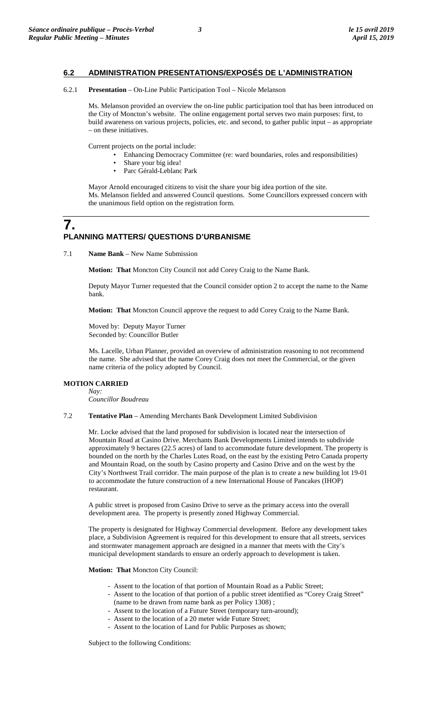## **6.2 ADMINISTRATION PRESENTATIONS/EXPOSÉS DE L'ADMINISTRATION**

### 6.2.1 **Presentation** – On-Line Public Participation Tool – Nicole Melanson

Ms. Melanson provided an overview the on-line public participation tool that has been introduced on the City of Moncton's website. The online engagement portal serves two main purposes: first, to build awareness on various projects, policies, etc. and second, to gather public input – as appropriate – on these initiatives.

Current projects on the portal include:

- Enhancing Democracy Committee (re: ward boundaries, roles and responsibilities)
- Share your big idea!
- Parc Gérald-Leblanc Park

Mayor Arnold encouraged citizens to visit the share your big idea portion of the site. Ms. Melanson fielded and answered Council questions. Some Councillors expressed concern with the unanimous field option on the registration form.

# **7. PLANNING MATTERS/ QUESTIONS D'URBANISME**

7.1 **Name Bank** – New Name Submission

**Motion: That** Moncton City Council not add Corey Craig to the Name Bank.

Deputy Mayor Turner requested that the Council consider option 2 to accept the name to the Name bank.

**Motion: That** Moncton Council approve the request to add Corey Craig to the Name Bank.

Moved by: Deputy Mayor Turner Seconded by: Councillor Butler

Ms. Lacelle, Urban Planner, provided an overview of administration reasoning to not recommend the name. She advised that the name Corey Craig does not meet the Commercial, or the given name criteria of the policy adopted by Council.

### **MOTION CARRIED**

*Nay:* 

*Councillor Boudreau*

7.2 **Tentative Plan** – Amending Merchants Bank Development Limited Subdivision

Mr. Locke advised that the land proposed for subdivision is located near the intersection of Mountain Road at Casino Drive. Merchants Bank Developments Limited intends to subdivide approximately 9 hectares (22.5 acres) of land to accommodate future development. The property is bounded on the north by the Charles Lutes Road, on the east by the existing Petro Canada property and Mountain Road, on the south by Casino property and Casino Drive and on the west by the City's Northwest Trail corridor. The main purpose of the plan is to create a new building lot 19-01 to accommodate the future construction of a new International House of Pancakes (IHOP) restaurant.

A public street is proposed from Casino Drive to serve as the primary access into the overall development area. The property is presently zoned Highway Commercial.

The property is designated for Highway Commercial development. Before any development takes place, a Subdivision Agreement is required for this development to ensure that all streets, services and stormwater management approach are designed in a manner that meets with the City's municipal development standards to ensure an orderly approach to development is taken.

**Motion: That** Moncton City Council:

- Assent to the location of that portion of Mountain Road as a Public Street;
- Assent to the location of that portion of a public street identified as "Corey Craig Street" (name to be drawn from name bank as per Policy 1308) ;
- Assent to the location of a Future Street (temporary turn-around);
- Assent to the location of a 20 meter wide Future Street;
- Assent to the location of Land for Public Purposes as shown;

Subject to the following Conditions: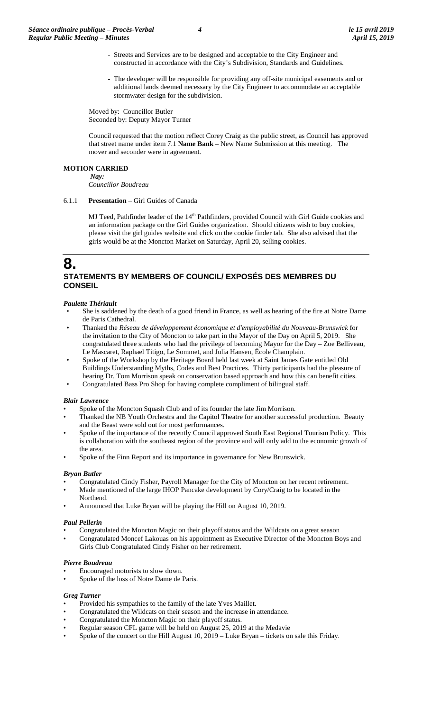- Streets and Services are to be designed and acceptable to the City Engineer and constructed in accordance with the City's Subdivision, Standards and Guidelines.
- The developer will be responsible for providing any off-site municipal easements and or additional lands deemed necessary by the City Engineer to accommodate an acceptable stormwater design for the subdivision.

Moved by: Councillor Butler Seconded by: Deputy Mayor Turner

Council requested that the motion reflect Corey Craig as the public street, as Council has approved that street name under item 7.1 **Name Bank** – New Name Submission at this meeting. The mover and seconder were in agreement.

### **MOTION CARRIED**

*Nay: Councillor Boudreau*

### 6.1.1 **Presentation** – Girl Guides of Canada

MJ Teed, Pathfinder leader of the 14<sup>th</sup> Pathfinders, provided Council with Girl Guide cookies and an information package on the Girl Guides organization. Should citizens wish to buy cookies, please visit the girl guides website and click on the cookie finder tab. She also advised that the girls would be at the Moncton Market on Saturday, April 20, selling cookies.

# **8.**

# **STATEMENTS BY MEMBERS OF COUNCIL/ EXPOSÉS DES MEMBRES DU CONSEIL**

### *Paulette Thériault*

- She is saddened by the death of a good friend in France, as well as hearing of the fire at Notre Dame de Paris Cathedral.
- Thanked the *Réseau de développement économique et d'employabilité du Nouveau-Brunswick* for the invitation to the City of Moncton to take part in the Mayor of the Day on April 5, 2019. She congratulated three students who had the privilege of becoming Mayor for the Day – Zoe Belliveau, Le Mascaret, Raphael Titigo, Le Sommet, and Julia Hansen, École Champlain.
- Spoke of the Workshop by the Heritage Board held last week at Saint James Gate entitled Old Buildings Understanding Myths, Codes and Best Practices. Thirty participants had the pleasure of hearing Dr. Tom Morrison speak on conservation based approach and how this can benefit cities.
- Congratulated Bass Pro Shop for having complete compliment of bilingual staff.

### *Blair Lawrence*

- Spoke of the Moncton Squash Club and of its founder the late Jim Morrison.
- Thanked the NB Youth Orchestra and the Capitol Theatre for another successful production. Beauty and the Beast were sold out for most performances.
- Spoke of the importance of the recently Council approved South East Regional Tourism Policy. This is collaboration with the southeast region of the province and will only add to the economic growth of the area.
- Spoke of the Finn Report and its importance in governance for New Brunswick.

### *Bryan Butler*

- Congratulated Cindy Fisher, Payroll Manager for the City of Moncton on her recent retirement.
- Made mentioned of the large IHOP Pancake development by Cory/Craig to be located in the Northend.
- Announced that Luke Bryan will be playing the Hill on August 10, 2019.

## *Paul Pellerin*

- Congratulated the Moncton Magic on their playoff status and the Wildcats on a great season
- Congratulated Moncef Lakouas on his appointment as Executive Director of the Moncton Boys and Girls Club Congratulated Cindy Fisher on her retirement.

## *Pierre Boudreau*

- Encouraged motorists to slow down.
- Spoke of the loss of Notre Dame de Paris.

# *Greg Turner*

- Provided his sympathies to the family of the late Yves Maillet.
- Congratulated the Wildcats on their season and the increase in attendance.
- Congratulated the Moncton Magic on their playoff status.
- Regular season CFL game will be held on August 25, 2019 at the Medavie
- Spoke of the concert on the Hill August  $10$ ,  $2019$  Luke Bryan tickets on sale this Friday.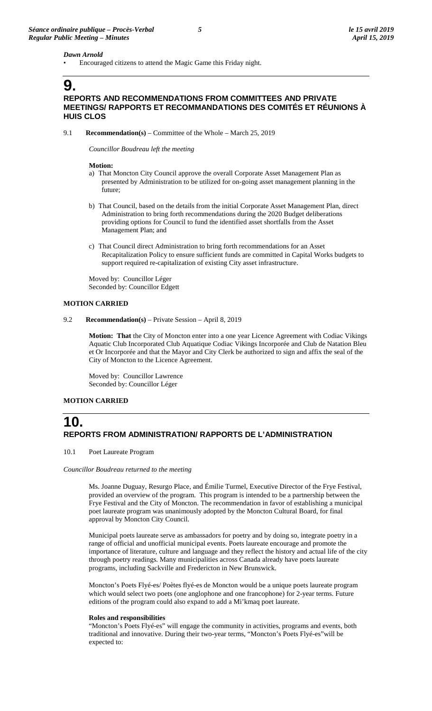### *Dawn Arnold*

• Encouraged citizens to attend the Magic Game this Friday night.

# **9.**

## **REPORTS AND RECOMMENDATIONS FROM COMMITTEES AND PRIVATE MEETINGS/ RAPPORTS ET RECOMMANDATIONS DES COMITÉS ET RÉUNIONS À HUIS CLOS**

9.1 **Recommendation(s)** – Committee of the Whole – March 25, 2019

*Councillor Boudreau left the meeting*

### **Motion:**

- a) That Moncton City Council approve the overall Corporate Asset Management Plan as presented by Administration to be utilized for on-going asset management planning in the future;
- b) That Council, based on the details from the initial Corporate Asset Management Plan, direct Administration to bring forth recommendations during the 2020 Budget deliberations providing options for Council to fund the identified asset shortfalls from the Asset Management Plan; and
- c) That Council direct Administration to bring forth recommendations for an Asset Recapitalization Policy to ensure sufficient funds are committed in Capital Works budgets to support required re-capitalization of existing City asset infrastructure.

Moved by: Councillor Léger Seconded by: Councillor Edgett

### **MOTION CARRIED**

9.2 **Recommendation(s)** – Private Session – April 8, 2019

**Motion: That** the City of Moncton enter into a one year Licence Agreement with Codiac Vikings Aquatic Club Incorporated Club Aquatique Codiac Vikings Incorporée and Club de Natation Bleu et Or Incorporée and that the Mayor and City Clerk be authorized to sign and affix the seal of the City of Moncton to the Licence Agreement.

Moved by: Councillor Lawrence Seconded by: Councillor Léger

### **MOTION CARRIED**

# **10. REPORTS FROM ADMINISTRATION/ RAPPORTS DE L'ADMINISTRATION**

10.1 Poet Laureate Program

### *Councillor Boudreau returned to the meeting*

Ms. Joanne Duguay, Resurgo Place, and Émilie Turmel, Executive Director of the Frye Festival, provided an overview of the program. This program is intended to be a partnership between the Frye Festival and the City of Moncton. The recommendation in favor of establishing a municipal poet laureate program was unanimously adopted by the Moncton Cultural Board, for final approval by Moncton City Council.

Municipal poets laureate serve as ambassadors for poetry and by doing so, integrate poetry in a range of official and unofficial municipal events. Poets laureate encourage and promote the importance of literature, culture and language and they reflect the history and actual life of the city through poetry readings. Many municipalities across Canada already have poets laureate programs, including Sackville and Fredericton in New Brunswick.

Moncton's Poets Flyé-es/ Poètes flyé-es de Moncton would be a unique poets laureate program which would select two poets (one anglophone and one francophone) for 2-year terms. Future editions of the program could also expand to add a Mi'kmaq poet laureate.

### **Roles and responsibilities**

"Moncton's Poets Flyé-es" will engage the community in activities, programs and events, both traditional and innovative. During their two-year terms, "Moncton's Poets Flyé-es"will be expected to: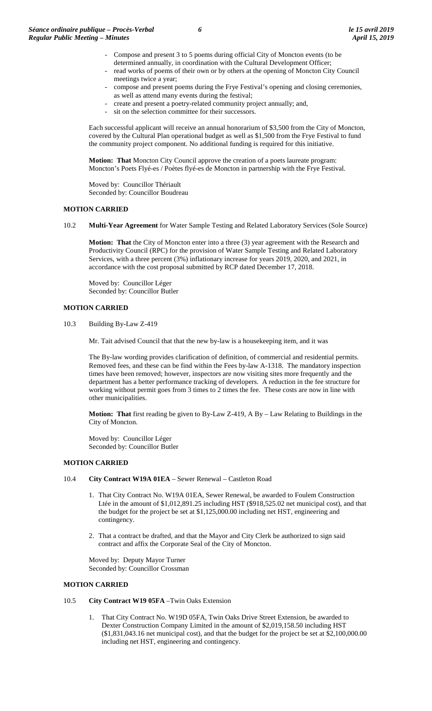- Compose and present 3 to 5 poems during official City of Moncton events (to be determined annually, in coordination with the Cultural Development Officer;
- read works of poems of their own or by others at the opening of Moncton City Council meetings twice a year;
- compose and present poems during the Frye Festival's opening and closing ceremonies, as well as attend many events during the festival;
- create and present a poetry-related community project annually; and,
- sit on the selection committee for their successors.

Each successful applicant will receive an annual honorarium of \$3,500 from the City of Moncton, covered by the Cultural Plan operational budget as well as \$1,500 from the Frye Festival to fund the community project component. No additional funding is required for this initiative.

**Motion: That** Moncton City Council approve the creation of a poets laureate program: Moncton's Poets Flyé-es / Poètes flyé-es de Moncton in partnership with the Frye Festival.

Moved by: Councillor Thériault Seconded by: Councillor Boudreau

### **MOTION CARRIED**

10.2 **Multi-Year Agreement** for Water Sample Testing and Related Laboratory Services (Sole Source)

**Motion: That** the City of Moncton enter into a three (3) year agreement with the Research and Productivity Council (RPC) for the provision of Water Sample Testing and Related Laboratory Services, with a three percent (3%) inflationary increase for years 2019, 2020, and 2021, in accordance with the cost proposal submitted by RCP dated December 17, 2018.

Moved by: Councillor Léger Seconded by: Councillor Butler

### **MOTION CARRIED**

10.3 Building By-Law Z-419

Mr. Tait advised Council that that the new by-law is a housekeeping item, and it was

The By-law wording provides clarification of definition, of commercial and residential permits. Removed fees, and these can be find within the Fees by-law A-1318. The mandatory inspection times have been removed; however, inspectors are now visiting sites more frequently and the department has a better performance tracking of developers. A reduction in the fee structure for working without permit goes from 3 times to 2 times the fee. These costs are now in line with other municipalities.

**Motion: That** first reading be given to By-Law Z-419, A By – Law Relating to Buildings in the City of Moncton.

Moved by: Councillor Léger Seconded by: Councillor Butler

### **MOTION CARRIED**

- 10.4 **City Contract W19A 01EA** Sewer Renewal Castleton Road
	- 1. That City Contract No. W19A 01EA, Sewer Renewal, be awarded to Foulem Construction Ltée in the amount of \$1,012,891.25 including HST (\$918,525.02 net municipal cost), and that the budget for the project be set at \$1,125,000.00 including net HST, engineering and contingency.
	- 2. That a contract be drafted, and that the Mayor and City Clerk be authorized to sign said contract and affix the Corporate Seal of the City of Moncton.

Moved by: Deputy Mayor Turner Seconded by: Councillor Crossman

### **MOTION CARRIED**

- 10.5 **City Contract W19 05FA** –Twin Oaks Extension
	- 1. That City Contract No. W19D 05FA, Twin Oaks Drive Street Extension, be awarded to Dexter Construction Company Limited in the amount of \$2,019,158.50 including HST (\$1,831,043.16 net municipal cost), and that the budget for the project be set at \$2,100,000.00 including net HST, engineering and contingency.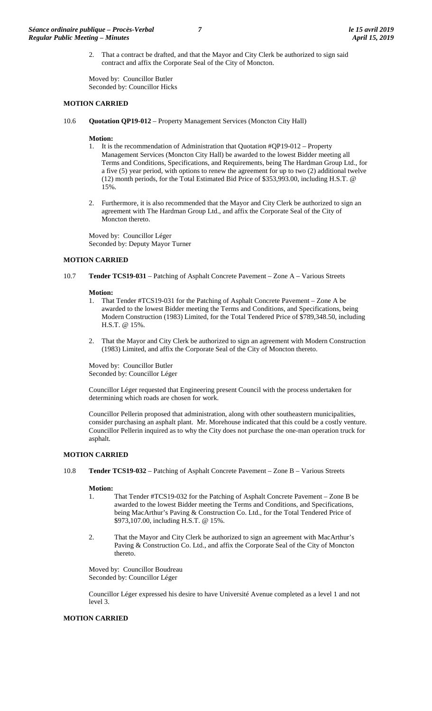2. That a contract be drafted, and that the Mayor and City Clerk be authorized to sign said contract and affix the Corporate Seal of the City of Moncton.

Moved by: Councillor Butler Seconded by: Councillor Hicks

### **MOTION CARRIED**

10.6 **Quotation QP19-012** – Property Management Services (Moncton City Hall)

### **Motion:**

- 1. It is the recommendation of Administration that Quotation #QP19-012 Property Management Services (Moncton City Hall) be awarded to the lowest Bidder meeting all Terms and Conditions, Specifications, and Requirements, being The Hardman Group Ltd., for a five (5) year period, with options to renew the agreement for up to two (2) additional twelve (12) month periods, for the Total Estimated Bid Price of \$353,993.00, including H.S.T. @ 15%.
- 2. Furthermore, it is also recommended that the Mayor and City Clerk be authorized to sign an agreement with The Hardman Group Ltd., and affix the Corporate Seal of the City of Moncton thereto.

Moved by: Councillor Léger Seconded by: Deputy Mayor Turner

### **MOTION CARRIED**

10.7 **Tender TCS19-031** – Patching of Asphalt Concrete Pavement – Zone A – Various Streets

### **Motion:**

- 1. That Tender #TCS19-031 for the Patching of Asphalt Concrete Pavement Zone A be awarded to the lowest Bidder meeting the Terms and Conditions, and Specifications, being Modern Construction (1983) Limited, for the Total Tendered Price of \$789,348.50, including H.S.T. @ 15%.
- 2. That the Mayor and City Clerk be authorized to sign an agreement with Modern Construction (1983) Limited, and affix the Corporate Seal of the City of Moncton thereto.

Moved by: Councillor Butler Seconded by: Councillor Léger

Councillor Léger requested that Engineering present Council with the process undertaken for determining which roads are chosen for work.

Councillor Pellerin proposed that administration, along with other southeastern municipalities, consider purchasing an asphalt plant. Mr. Morehouse indicated that this could be a costly venture. Councillor Pellerin inquired as to why the City does not purchase the one-man operation truck for asphalt.

### **MOTION CARRIED**

10.8 **Tender TCS19-032** – Patching of Asphalt Concrete Pavement – Zone B – Various Streets

### **Motion:**

- 1. That Tender #TCS19-032 for the Patching of Asphalt Concrete Pavement Zone B be awarded to the lowest Bidder meeting the Terms and Conditions, and Specifications, being MacArthur's Paving & Construction Co. Ltd., for the Total Tendered Price of \$973,107.00, including H.S.T. @ 15%.
- 2. That the Mayor and City Clerk be authorized to sign an agreement with MacArthur's Paving & Construction Co. Ltd., and affix the Corporate Seal of the City of Moncton thereto.

Moved by: Councillor Boudreau Seconded by: Councillor Léger

Councillor Léger expressed his desire to have Université Avenue completed as a level 1 and not level 3.

### **MOTION CARRIED**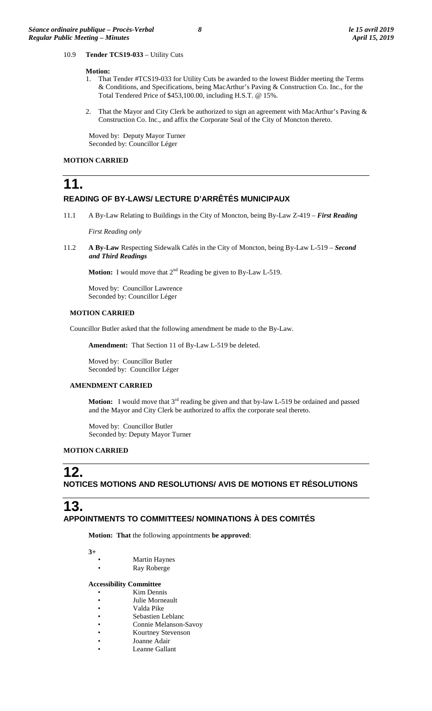10.9 **Tender TCS19-033** – Utility Cuts

# **Motion:**

- 1. That Tender #TCS19-033 for Utility Cuts be awarded to the lowest Bidder meeting the Terms & Conditions, and Specifications, being MacArthur's Paving & Construction Co. Inc., for the Total Tendered Price of \$453,100.00, including H.S.T. @ 15%.
- That the Mayor and City Clerk be authorized to sign an agreement with MacArthur's Paving  $\&$ Construction Co. Inc., and affix the Corporate Seal of the City of Moncton thereto.

Moved by: Deputy Mayor Turner Seconded by: Councillor Léger

### **MOTION CARRIED**

**11.**

# **READING OF BY-LAWS/ LECTURE D'ARRÊTÉS MUNICIPAUX**

11.1 A By-Law Relating to Buildings in the City of Moncton, being By-Law Z-419 – *First Reading*

*First Reading only*

11.2 **A By-Law** Respecting Sidewalk Cafés in the City of Moncton, being By-Law L-519 – *Second and Third Readings*

**Motion:** I would move that  $2^{nd}$  Reading be given to By-Law L-519.

Moved by: Councillor Lawrence Seconded by: Councillor Léger

### **MOTION CARRIED**

Councillor Butler asked that the following amendment be made to the By-Law.

**Amendment:** That Section 11 of By-Law L-519 be deleted.

Moved by: Councillor Butler Seconded by: Councillor Léger

## **AMENDMENT CARRIED**

**Motion:** I would move that 3<sup>rd</sup> reading be given and that by-law L-519 be ordained and passed and the Mayor and City Clerk be authorized to affix the corporate seal thereto.

Moved by: Councillor Butler Seconded by: Deputy Mayor Turner

## **MOTION CARRIED**

# **12.**

**NOTICES MOTIONS AND RESOLUTIONS/ AVIS DE MOTIONS ET RÉSOLUTIONS**

# **13.**

# **APPOINTMENTS TO COMMITTEES/ NOMINATIONS À DES COMITÉS**

**Motion: That** the following appointments **be approved**:

**3+**

- **Martin Haynes**
- Ray Roberge

### **Accessibility Committee**

- Kim Dennis
- Julie Morneault
- Valda Pike
- Sebastien Leblanc
- Connie Melanson-Savoy
- Kourtney Stevenson
- Joanne Adair
- Leanne Gallant